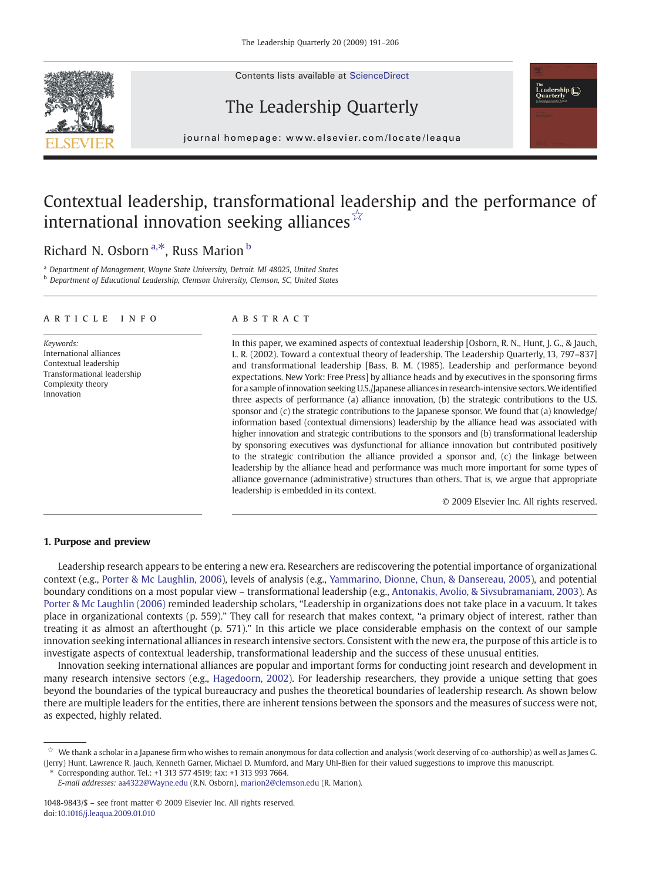Contents lists available at ScienceDirect





j o u r n a l h om e p a g e r. c om e p a g e r. c om / l o c a t e a t e a t e l o c a t e l o c a t e a q u<br>L

## Contextual leadership, transformational leadership and the performance of international innovation seeking alliances<sup>☆</sup>

### Richard N. Osborn<sup>a, $*$ </sup>, Russ Marion<sup>b</sup>

<sup>a</sup> Department of Management, Wayne State University, Detroit. MI 48025, United States **b** Department of Educational Leadership, Clemson University, Clemson, SC, United States

#### article info abstract

Keywords: International alliances Contextual leadership Transformational leadership Complexity theory Innovation

In this paper, we examined aspects of contextual leadership [Osborn, R. N., Hunt, J. G., & Jauch, L. R. (2002). Toward a contextual theory of leadership. The Leadership Quarterly, 13, 797–837] and transformational leadership [Bass, B. M. (1985). Leadership and performance beyond expectations. New York: Free Press] by alliance heads and by executives in the sponsoring firms for a sample of innovation seeking U.S./Japanese alliances in research-intensive sectors. We identified three aspects of performance (a) alliance innovation, (b) the strategic contributions to the U.S. sponsor and (c) the strategic contributions to the Japanese sponsor. We found that (a) knowledge/ information based (contextual dimensions) leadership by the alliance head was associated with higher innovation and strategic contributions to the sponsors and (b) transformational leadership by sponsoring executives was dysfunctional for alliance innovation but contributed positively to the strategic contribution the alliance provided a sponsor and, (c) the linkage between leadership by the alliance head and performance was much more important for some types of alliance governance (administrative) structures than others. That is, we argue that appropriate leadership is embedded in its context.

© 2009 Elsevier Inc. All rights reserved.

eadership ( )<br>\uarterly

#### 1. Purpose and preview

Leadership research appears to be entering a new era. Researchers are rediscovering the potential importance of organizational context (e.g., [Porter & Mc Laughlin, 2006\)](#page--1-0), levels of analysis (e.g., [Yammarino, Dionne, Chun, & Dansereau, 2005](#page--1-0)), and potential boundary conditions on a most popular view – transformational leadership (e.g., [Antonakis, Avolio, & Sivsubramaniam, 2003\)](#page--1-0). As [Porter & Mc Laughlin \(2006\)](#page--1-0) reminded leadership scholars, "Leadership in organizations does not take place in a vacuum. It takes place in organizational contexts (p. 559)." They call for research that makes context, "a primary object of interest, rather than treating it as almost an afterthought (p. 571)." In this article we place considerable emphasis on the context of our sample innovation seeking international alliances in research intensive sectors. Consistent with the new era, the purpose of this article is to investigate aspects of contextual leadership, transformational leadership and the success of these unusual entities.

Innovation seeking international alliances are popular and important forms for conducting joint research and development in many research intensive sectors (e.g., [Hagedoorn, 2002](#page--1-0)). For leadership researchers, they provide a unique setting that goes beyond the boundaries of the typical bureaucracy and pushes the theoretical boundaries of leadership research. As shown below there are multiple leaders for the entities, there are inherent tensions between the sponsors and the measures of success were not, as expected, highly related.

<sup>☆</sup> We thank a scholar in a Japanese firm who wishes to remain anonymous for data collection and analysis (work deserving of co-authorship) as well as James G. (Jerry) Hunt, Lawrence R. Jauch, Kenneth Garner, Michael D. Mumford, and Mary Uhl-Bien for their valued suggestions to improve this manuscript.

<sup>⁎</sup> Corresponding author. Tel.: +1 313 577 4519; fax: +1 313 993 7664.

E-mail addresses: [aa4322@Wayne.edu](mailto:aa4322@Wayne.edu) (R.N. Osborn), [marion2@clemson.edu](mailto:marion2@clemson.edu) (R. Marion).

<sup>1048-9843/\$</sup> – see front matter © 2009 Elsevier Inc. All rights reserved. doi[:10.1016/j.leaqua.2009.01.010](http://dx.doi.org/10.1016/j.leaqua.2009.01.010)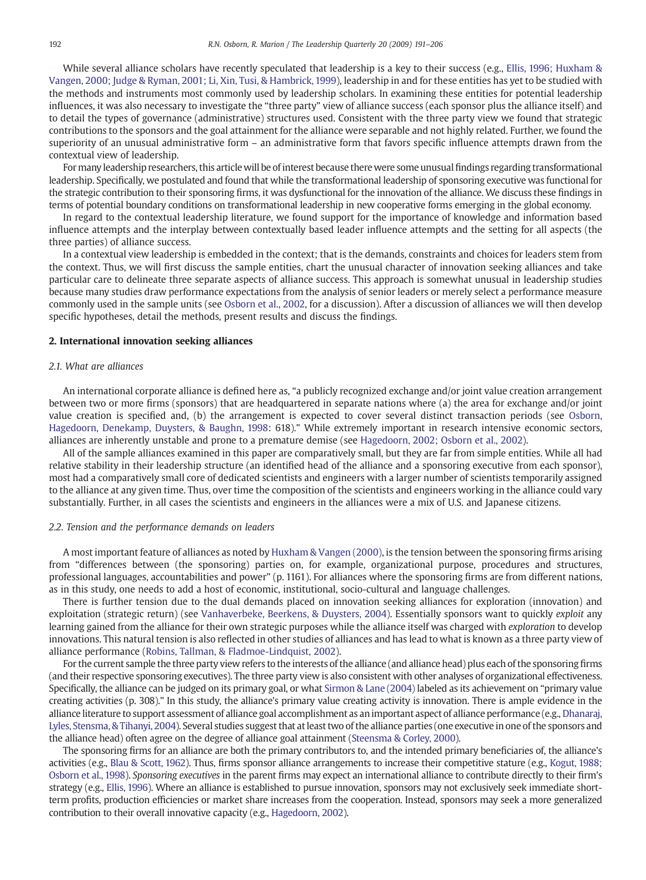While several alliance scholars have recently speculated that leadership is a key to their success (e.g., [Ellis, 1996; Huxham &](#page--1-0) [Vangen, 2000; Judge & Ryman, 2001; Li, Xin, Tusi, & Hambrick, 1999](#page--1-0)), leadership in and for these entities has yet to be studied with the methods and instruments most commonly used by leadership scholars. In examining these entities for potential leadership influences, it was also necessary to investigate the "three party" view of alliance success (each sponsor plus the alliance itself) and to detail the types of governance (administrative) structures used. Consistent with the three party view we found that strategic contributions to the sponsors and the goal attainment for the alliance were separable and not highly related. Further, we found the superiority of an unusual administrative form – an administrative form that favors specific influence attempts drawn from the contextual view of leadership.

For many leadership researchers, this article will be of interest because there were some unusualfindings regarding transformational leadership. Specifically, we postulated and found that while the transformational leadership of sponsoring executive was functional for the strategic contribution to their sponsoring firms, it was dysfunctional for the innovation of the alliance. We discuss these findings in terms of potential boundary conditions on transformational leadership in new cooperative forms emerging in the global economy.

In regard to the contextual leadership literature, we found support for the importance of knowledge and information based influence attempts and the interplay between contextually based leader influence attempts and the setting for all aspects (the three parties) of alliance success.

In a contextual view leadership is embedded in the context; that is the demands, constraints and choices for leaders stem from the context. Thus, we will first discuss the sample entities, chart the unusual character of innovation seeking alliances and take particular care to delineate three separate aspects of alliance success. This approach is somewhat unusual in leadership studies because many studies draw performance expectations from the analysis of senior leaders or merely select a performance measure commonly used in the sample units (see [Osborn et al., 2002,](#page--1-0) for a discussion). After a discussion of alliances we will then develop specific hypotheses, detail the methods, present results and discuss the findings.

#### 2. International innovation seeking alliances

### 2.1. What are alliances

An international corporate alliance is defined here as, "a publicly recognized exchange and/or joint value creation arrangement between two or more firms (sponsors) that are headquartered in separate nations where (a) the area for exchange and/or joint value creation is specified and, (b) the arrangement is expected to cover several distinct transaction periods (see [Osborn,](#page--1-0) [Hagedoorn, Denekamp, Duysters, & Baughn, 1998:](#page--1-0) 618)." While extremely important in research intensive economic sectors, alliances are inherently unstable and prone to a premature demise (see [Hagedoorn, 2002; Osborn et al., 2002](#page--1-0)).

All of the sample alliances examined in this paper are comparatively small, but they are far from simple entities. While all had relative stability in their leadership structure (an identified head of the alliance and a sponsoring executive from each sponsor), most had a comparatively small core of dedicated scientists and engineers with a larger number of scientists temporarily assigned to the alliance at any given time. Thus, over time the composition of the scientists and engineers working in the alliance could vary substantially. Further, in all cases the scientists and engineers in the alliances were a mix of U.S. and Japanese citizens.

#### 2.2. Tension and the performance demands on leaders

A most important feature of alliances as noted by [Huxham & Vangen \(2000\),](#page--1-0) is the tension between the sponsoring firms arising from "differences between (the sponsoring) parties on, for example, organizational purpose, procedures and structures, professional languages, accountabilities and power" (p. 1161). For alliances where the sponsoring firms are from different nations, as in this study, one needs to add a host of economic, institutional, socio-cultural and language challenges.

There is further tension due to the dual demands placed on innovation seeking alliances for exploration (innovation) and exploitation (strategic return) (see [Vanhaverbeke, Beerkens, & Duysters, 2004\)](#page--1-0). Essentially sponsors want to quickly exploit any learning gained from the alliance for their own strategic purposes while the alliance itself was charged with exploration to develop innovations. This natural tension is also reflected in other studies of alliances and has lead to what is known as a three party view of alliance performance ([Robins, Tallman, & Fladmoe-Lindquist, 2002\)](#page--1-0).

For the current sample the three party view refers to the interests of the alliance (and alliance head) plus each of the sponsoring firms (and their respective sponsoring executives). The three party view is also consistent with other analyses of organizational effectiveness. Specifically, the alliance can be judged on its primary goal, or what [Sirmon & Lane \(2004\)](#page--1-0) labeled as its achievement on "primary value creating activities (p. 308)." In this study, the alliance's primary value creating activity is innovation. There is ample evidence in the alliance literature to support assessment of alliance goal accomplishment as an important aspect of alliance performance (e.g., [Dhanaraj,](#page--1-0) [Lyles, Stensma, & Tihanyi, 2004](#page--1-0)). Several studies suggest that at least two of the alliance parties (one executive in one of the sponsors and the alliance head) often agree on the degree of alliance goal attainment [\(Steensma & Corley, 2000\)](#page--1-0).

The sponsoring firms for an alliance are both the primary contributors to, and the intended primary beneficiaries of, the alliance's activities (e.g., [Blau & Scott, 1962](#page--1-0)). Thus, firms sponsor alliance arrangements to increase their competitive stature (e.g., [Kogut, 1988;](#page--1-0) [Osborn et al., 1998\)](#page--1-0). Sponsoring executives in the parent firms may expect an international alliance to contribute directly to their firm's strategy (e.g., [Ellis, 1996](#page--1-0)). Where an alliance is established to pursue innovation, sponsors may not exclusively seek immediate shortterm profits, production efficiencies or market share increases from the cooperation. Instead, sponsors may seek a more generalized contribution to their overall innovative capacity (e.g., [Hagedoorn, 2002](#page--1-0)).